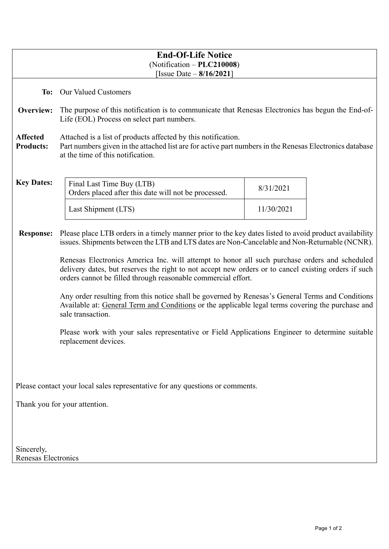| (Notification - PLC210008)<br>[Issue Date $-8/16/2021$ ]                                                                                                                                                                                                               |  |  |  |  |  |
|------------------------------------------------------------------------------------------------------------------------------------------------------------------------------------------------------------------------------------------------------------------------|--|--|--|--|--|
| <b>Our Valued Customers</b><br>To:                                                                                                                                                                                                                                     |  |  |  |  |  |
| The purpose of this notification is to communicate that Renesas Electronics has begun the End-of-                                                                                                                                                                      |  |  |  |  |  |
| <b>Affected</b><br>Attached is a list of products affected by this notification.<br>Part numbers given in the attached list are for active part numbers in the Renesas Electronics database<br><b>Products:</b><br>at the time of this notification.                   |  |  |  |  |  |
|                                                                                                                                                                                                                                                                        |  |  |  |  |  |
|                                                                                                                                                                                                                                                                        |  |  |  |  |  |
| Please place LTB orders in a timely manner prior to the key dates listed to avoid product availability<br><b>Response:</b><br>issues. Shipments between the LTB and LTS dates are Non-Cancelable and Non-Returnable (NCNR).                                            |  |  |  |  |  |
| Renesas Electronics America Inc. will attempt to honor all such purchase orders and scheduled<br>delivery dates, but reserves the right to not accept new orders or to cancel existing orders if such<br>orders cannot be filled through reasonable commercial effort. |  |  |  |  |  |
| Any order resulting from this notice shall be governed by Renesas's General Terms and Conditions<br>Available at: General Term and Conditions or the applicable legal terms covering the purchase and<br>sale transaction.                                             |  |  |  |  |  |
| Please work with your sales representative or Field Applications Engineer to determine suitable<br>replacement devices.                                                                                                                                                |  |  |  |  |  |
|                                                                                                                                                                                                                                                                        |  |  |  |  |  |
| Please contact your local sales representative for any questions or comments.                                                                                                                                                                                          |  |  |  |  |  |
| Thank you for your attention.                                                                                                                                                                                                                                          |  |  |  |  |  |
|                                                                                                                                                                                                                                                                        |  |  |  |  |  |
|                                                                                                                                                                                                                                                                        |  |  |  |  |  |
| Sincerely,<br>Renesas Electronics                                                                                                                                                                                                                                      |  |  |  |  |  |
|                                                                                                                                                                                                                                                                        |  |  |  |  |  |